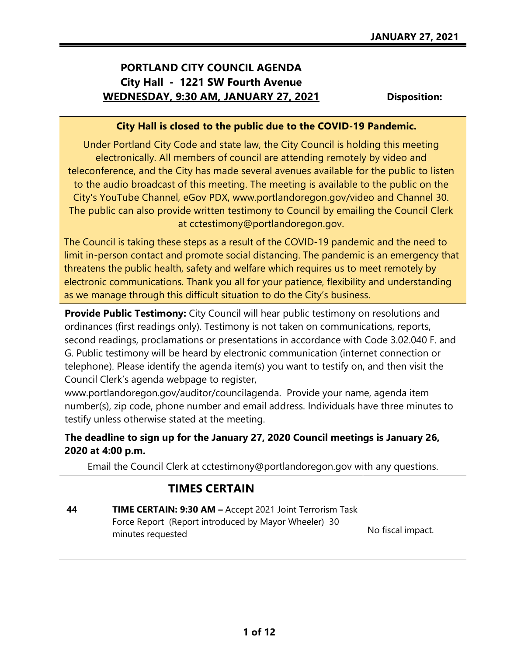# **PORTLAND CITY COUNCIL AGENDA City Hall - 1221 SW Fourth Avenue WEDNESDAY, 9:30 AM, JANUARY 27, 2021**

**Disposition:**

## **City Hall is closed to the public due to the COVID-19 Pandemic.**

Under Portland City Code and state law, the City Council is holding this meeting electronically. All members of council are attending remotely by video and teleconference, and the City has made several avenues available for the public to listen to the audio broadcast of this meeting. The meeting is available to the public on the City's YouTube Channel, eGov PDX, www.portlandoregon.gov/video and Channel 30. The public can also provide written testimony to Council by emailing the Council Clerk at cctestimony@portlandoregon.gov.

The Council is taking these steps as a result of the COVID-19 pandemic and the need to limit in-person contact and promote social distancing. The pandemic is an emergency that threatens the public health, safety and welfare which requires us to meet remotely by electronic communications. Thank you all for your patience, flexibility and understanding as we manage through this difficult situation to do the City's business.

**Provide Public Testimony:** City Council will hear public testimony on resolutions and ordinances (first readings only). Testimony is not taken on communications, reports, second readings, proclamations or presentations in accordance with Code 3.02.040 F. and G. Public testimony will be heard by electronic communication (internet connection or telephone). Please identify the agenda item(s) you want to testify on, and then visit the Council Clerk's agenda webpage to register,

www.portlandoregon.gov/auditor/councilagenda. Provide your name, agenda item number(s), zip code, phone number and email address. Individuals have three minutes to testify unless otherwise stated at the meeting.

## **The deadline to sign up for the January 27, 2020 Council meetings is January 26, 2020 at 4:00 p.m.**

Email the Council Clerk at cctestimony@portlandoregon.gov with any questions.

| <b>TIMES CERTAIN</b>                                                                                                                  |                   |
|---------------------------------------------------------------------------------------------------------------------------------------|-------------------|
| TIME CERTAIN: 9:30 AM - Accept 2021 Joint Terrorism Task<br>Force Report (Report introduced by Mayor Wheeler) 30<br>minutes requested | No fiscal impact. |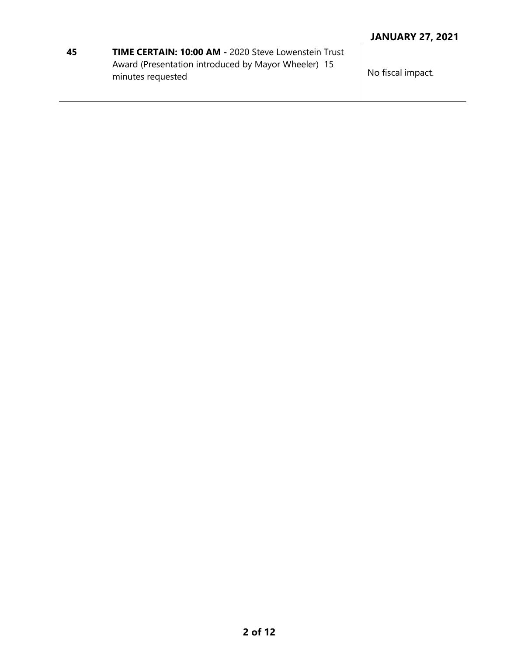| <b>TIME CERTAIN: 10:00 AM - 2020 Steve Lowenstein Trust</b><br>45 |                                                     |  |
|-------------------------------------------------------------------|-----------------------------------------------------|--|
|                                                                   | Award (Presentation introduced by Mayor Wheeler) 15 |  |
|                                                                   | minutes requested                                   |  |

No fiscal impact.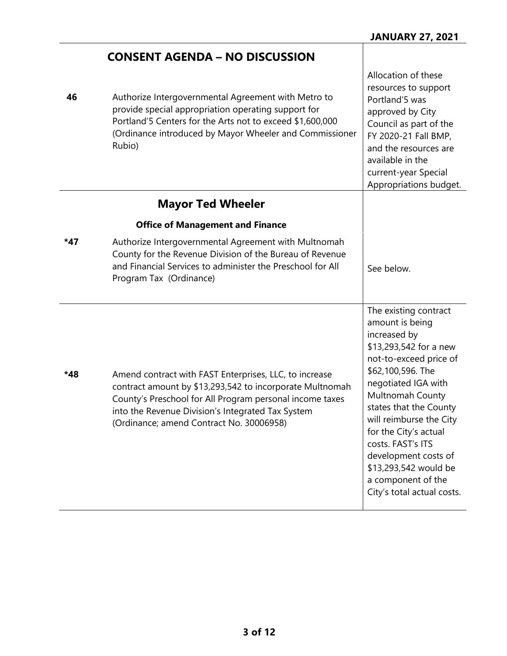|     | <b>CONSENT AGENDA – NO DISCUSSION</b>                                                                                                                                                                                                                                           |                                                                                                                                                                                                                                                                                                                                                                                      |
|-----|---------------------------------------------------------------------------------------------------------------------------------------------------------------------------------------------------------------------------------------------------------------------------------|--------------------------------------------------------------------------------------------------------------------------------------------------------------------------------------------------------------------------------------------------------------------------------------------------------------------------------------------------------------------------------------|
| 46  | Authorize Intergovernmental Agreement with Metro to<br>provide special appropriation operating support for<br>Portland'5 Centers for the Arts not to exceed \$1,600,000<br>(Ordinance introduced by Mayor Wheeler and Commissioner<br>Rubio)                                    | Allocation of these<br>resources to support<br>Portland'5 was<br>approved by City<br>Council as part of the<br>FY 2020-21 Fall BMP,<br>and the resources are<br>available in the<br>current-year Special<br>Appropriations budget.                                                                                                                                                   |
|     | <b>Mayor Ted Wheeler</b>                                                                                                                                                                                                                                                        |                                                                                                                                                                                                                                                                                                                                                                                      |
|     | <b>Office of Management and Finance</b>                                                                                                                                                                                                                                         |                                                                                                                                                                                                                                                                                                                                                                                      |
| *47 | Authorize Intergovernmental Agreement with Multnomah<br>County for the Revenue Division of the Bureau of Revenue<br>and Financial Services to administer the Preschool for All<br>Program Tax (Ordinance)                                                                       | See below.                                                                                                                                                                                                                                                                                                                                                                           |
| *48 | Amend contract with FAST Enterprises, LLC, to increase<br>contract amount by \$13,293,542 to incorporate Multnomah<br>County's Preschool for All Program personal income taxes<br>into the Revenue Division's Integrated Tax System<br>(Ordinance; amend Contract No. 30006958) | The existing contract<br>amount is being<br>increased by<br>\$13,293,542 for a new<br>not-to-exceed price of<br>\$62,100,596. The<br>negotiated IGA with<br>Multnomah County<br>states that the County<br>will reimburse the City<br>for the City's actual<br>costs. FAST's ITS<br>development costs of<br>\$13,293,542 would be<br>a component of the<br>City's total actual costs. |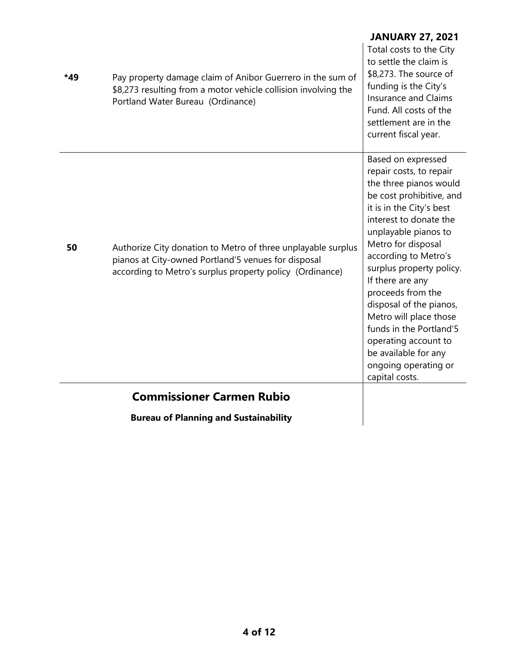| *49 | Pay property damage claim of Anibor Guerrero in the sum of<br>\$8,273 resulting from a motor vehicle collision involving the<br>Portland Water Bureau (Ordinance)               | <b>JANUARY 27, 2021</b><br>Total costs to the City<br>to settle the claim is<br>\$8,273. The source of<br>funding is the City's<br><b>Insurance and Claims</b><br>Fund. All costs of the<br>settlement are in the<br>current fiscal year.                                                                                                                                                                                                                                      |
|-----|---------------------------------------------------------------------------------------------------------------------------------------------------------------------------------|--------------------------------------------------------------------------------------------------------------------------------------------------------------------------------------------------------------------------------------------------------------------------------------------------------------------------------------------------------------------------------------------------------------------------------------------------------------------------------|
| 50  | Authorize City donation to Metro of three unplayable surplus<br>pianos at City-owned Portland'5 venues for disposal<br>according to Metro's surplus property policy (Ordinance) | Based on expressed<br>repair costs, to repair<br>the three pianos would<br>be cost prohibitive, and<br>it is in the City's best<br>interest to donate the<br>unplayable pianos to<br>Metro for disposal<br>according to Metro's<br>surplus property policy.<br>If there are any<br>proceeds from the<br>disposal of the pianos,<br>Metro will place those<br>funds in the Portland'5<br>operating account to<br>be available for any<br>ongoing operating or<br>capital costs. |
|     | <b>Commissioner Carmen Rubio</b>                                                                                                                                                |                                                                                                                                                                                                                                                                                                                                                                                                                                                                                |
|     | <b>Bureau of Planning and Sustainability</b>                                                                                                                                    |                                                                                                                                                                                                                                                                                                                                                                                                                                                                                |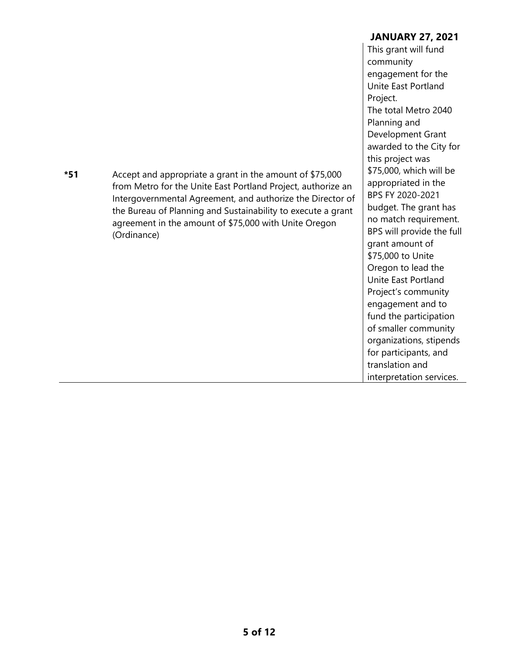|     |                                                              | community                 |
|-----|--------------------------------------------------------------|---------------------------|
|     |                                                              | engagement for the        |
|     |                                                              | Unite East Portland       |
|     |                                                              | Project.                  |
|     |                                                              | The total Metro 2040      |
|     |                                                              | Planning and              |
|     |                                                              | Development Grant         |
|     |                                                              | awarded to the City for   |
|     |                                                              | this project was          |
| *51 | Accept and appropriate a grant in the amount of \$75,000     | \$75,000, which will be   |
|     | from Metro for the Unite East Portland Project, authorize an | appropriated in the       |
|     | Intergovernmental Agreement, and authorize the Director of   | BPS FY 2020-2021          |
|     | the Bureau of Planning and Sustainability to execute a grant | budget. The grant has     |
|     | agreement in the amount of \$75,000 with Unite Oregon        | no match requirement.     |
|     | (Ordinance)                                                  | BPS will provide the full |
|     |                                                              | grant amount of           |
|     |                                                              | \$75,000 to Unite         |
|     |                                                              | Oregon to lead the        |
|     |                                                              | Unite East Portland       |
|     |                                                              | Project's community       |
|     |                                                              | engagement and to         |
|     |                                                              | fund the participation    |
|     |                                                              | of smaller community      |
|     |                                                              | organizations, stipends   |
|     |                                                              | for participants, and     |
|     |                                                              | translation and           |

interpretation services.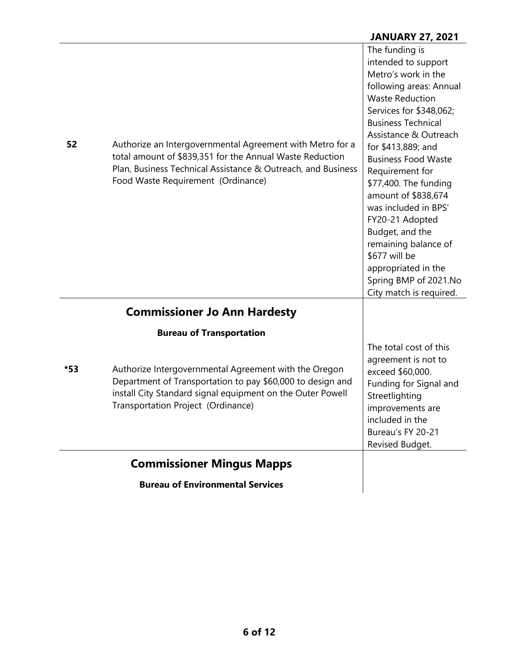## **JANUARY 27, 2021**

| 52  | Authorize an Intergovernmental Agreement with Metro for a                                                                                                                                                               | The funding is<br>intended to support<br>Metro's work in the<br>following areas: Annual<br><b>Waste Reduction</b><br>Services for \$348,062;<br><b>Business Technical</b><br>Assistance & Outreach<br>for \$413,889; and                                                        |
|-----|-------------------------------------------------------------------------------------------------------------------------------------------------------------------------------------------------------------------------|---------------------------------------------------------------------------------------------------------------------------------------------------------------------------------------------------------------------------------------------------------------------------------|
|     | total amount of \$839,351 for the Annual Waste Reduction<br>Plan, Business Technical Assistance & Outreach, and Business<br>Food Waste Requirement (Ordinance)                                                          | <b>Business Food Waste</b><br>Requirement for<br>\$77,400. The funding<br>amount of \$838,674<br>was included in BPS'<br>FY20-21 Adopted<br>Budget, and the<br>remaining balance of<br>\$677 will be<br>appropriated in the<br>Spring BMP of 2021.No<br>City match is required. |
|     | <b>Commissioner Jo Ann Hardesty</b>                                                                                                                                                                                     |                                                                                                                                                                                                                                                                                 |
|     | <b>Bureau of Transportation</b>                                                                                                                                                                                         |                                                                                                                                                                                                                                                                                 |
| *53 | Authorize Intergovernmental Agreement with the Oregon<br>Department of Transportation to pay \$60,000 to design and<br>install City Standard signal equipment on the Outer Powell<br>Transportation Project (Ordinance) | The total cost of this<br>agreement is not to<br>exceed \$60,000.<br>Funding for Signal and<br>Streetlighting<br>improvements are<br>included in the<br>Bureau's FY 20-21<br>Revised Budget.                                                                                    |
|     | <b>Commissioner Mingus Mapps</b>                                                                                                                                                                                        |                                                                                                                                                                                                                                                                                 |
|     | <b>Bureau of Environmental Services</b>                                                                                                                                                                                 |                                                                                                                                                                                                                                                                                 |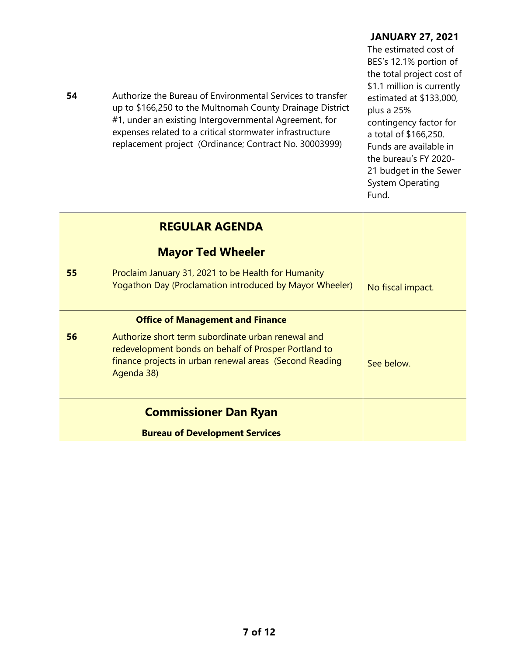| 54 | Authorize the Bureau of Environmental Services to transfer<br>up to \$166,250 to the Multnomah County Drainage District<br>#1, under an existing Intergovernmental Agreement, for<br>expenses related to a critical stormwater infrastructure<br>replacement project (Ordinance; Contract No. 30003999) | <b>JANUARY 27, 2021</b><br>The estimated cost of<br>BES's 12.1% portion of<br>the total project cost of<br>\$1.1 million is currently<br>estimated at \$133,000,<br>plus a 25%<br>contingency factor for<br>a total of \$166,250.<br>Funds are available in<br>the bureau's FY 2020-<br>21 budget in the Sewer<br><b>System Operating</b><br>Fund. |
|----|---------------------------------------------------------------------------------------------------------------------------------------------------------------------------------------------------------------------------------------------------------------------------------------------------------|----------------------------------------------------------------------------------------------------------------------------------------------------------------------------------------------------------------------------------------------------------------------------------------------------------------------------------------------------|
|    | <b>REGULAR AGENDA</b>                                                                                                                                                                                                                                                                                   |                                                                                                                                                                                                                                                                                                                                                    |
|    | <b>Mayor Ted Wheeler</b>                                                                                                                                                                                                                                                                                |                                                                                                                                                                                                                                                                                                                                                    |
| 55 | Proclaim January 31, 2021 to be Health for Humanity<br>Yogathon Day (Proclamation introduced by Mayor Wheeler)                                                                                                                                                                                          | No fiscal impact.                                                                                                                                                                                                                                                                                                                                  |
|    | <b>Office of Management and Finance</b>                                                                                                                                                                                                                                                                 |                                                                                                                                                                                                                                                                                                                                                    |
| 56 | Authorize short term subordinate urban renewal and<br>redevelopment bonds on behalf of Prosper Portland to<br>finance projects in urban renewal areas (Second Reading<br>Agenda 38)                                                                                                                     | See below.                                                                                                                                                                                                                                                                                                                                         |
|    | <b>Commissioner Dan Ryan</b>                                                                                                                                                                                                                                                                            |                                                                                                                                                                                                                                                                                                                                                    |
|    | <b>Bureau of Development Services</b>                                                                                                                                                                                                                                                                   |                                                                                                                                                                                                                                                                                                                                                    |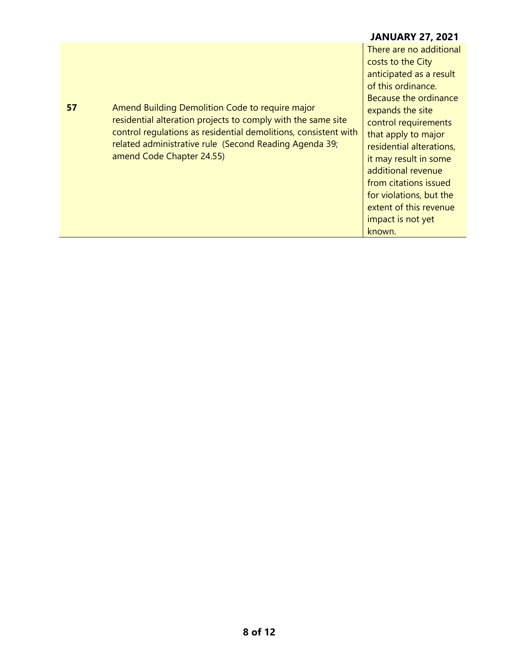#### **JANUARY 27, 2021 57** Amend Building Demolition Code to require major residential alteration projects to comply with the same site control regulations as residential demolitions, consistent with related administrative rule (Second Reading Agenda 39; amend Code Chapter 24.55) There are no additional costs to the City anticipated as a result of this ordinance. Because the ordinance expands the site control requirements that apply to major residential alterations, it may result in some additional revenue from citations issued for violations, but the extent of this revenue impact is not yet known.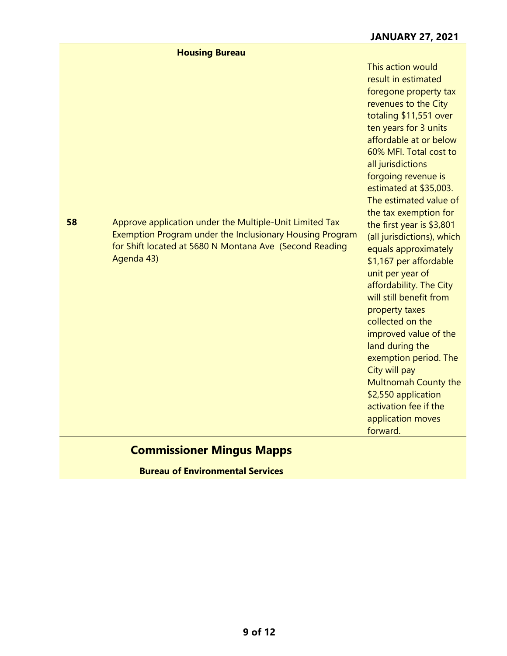|    | <b>Housing Bureau</b>                                                                                                                                                                        |                                                                                                                                                                                                                                                                                                                                                                                                                                                                                                                                                                                                                                                                      |
|----|----------------------------------------------------------------------------------------------------------------------------------------------------------------------------------------------|----------------------------------------------------------------------------------------------------------------------------------------------------------------------------------------------------------------------------------------------------------------------------------------------------------------------------------------------------------------------------------------------------------------------------------------------------------------------------------------------------------------------------------------------------------------------------------------------------------------------------------------------------------------------|
| 58 | Approve application under the Multiple-Unit Limited Tax<br>Exemption Program under the Inclusionary Housing Program<br>for Shift located at 5680 N Montana Ave (Second Reading<br>Agenda 43) | This action would<br>result in estimated<br>foregone property tax<br>revenues to the City<br>totaling \$11,551 over<br>ten years for 3 units<br>affordable at or below<br>60% MFI. Total cost to<br>all jurisdictions<br>forgoing revenue is<br>estimated at \$35,003.<br>The estimated value of<br>the tax exemption for<br>the first year is \$3,801<br>(all jurisdictions), which<br>equals approximately<br>\$1,167 per affordable<br>unit per year of<br>affordability. The City<br>will still benefit from<br>property taxes<br>collected on the<br>improved value of the<br>land during the<br>exemption period. The<br>City will pay<br>Multnomah County the |
|    |                                                                                                                                                                                              | \$2,550 application<br>activation fee if the<br>application moves<br>forward.                                                                                                                                                                                                                                                                                                                                                                                                                                                                                                                                                                                        |
|    | <b>Commissioner Mingus Mapps</b>                                                                                                                                                             |                                                                                                                                                                                                                                                                                                                                                                                                                                                                                                                                                                                                                                                                      |
|    | <b>Bureau of Environmental Services</b>                                                                                                                                                      |                                                                                                                                                                                                                                                                                                                                                                                                                                                                                                                                                                                                                                                                      |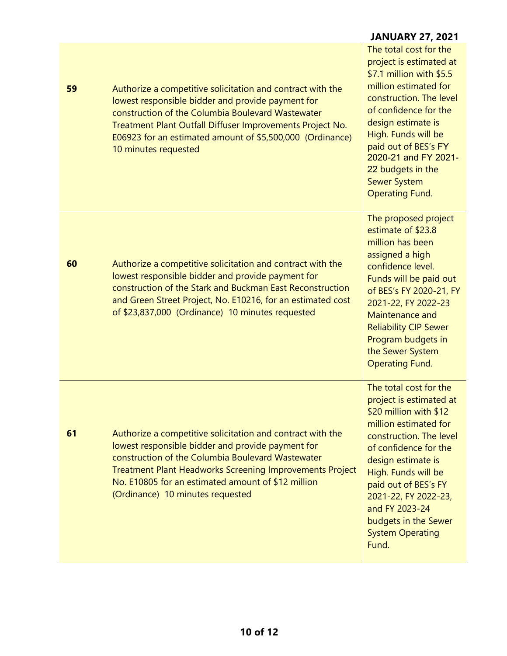|    |                                                                                                                                                                                                                                                                                                                                   | <b>JANUARY 27, 2021</b>                                                                                                                                                                                                                                                                                                             |
|----|-----------------------------------------------------------------------------------------------------------------------------------------------------------------------------------------------------------------------------------------------------------------------------------------------------------------------------------|-------------------------------------------------------------------------------------------------------------------------------------------------------------------------------------------------------------------------------------------------------------------------------------------------------------------------------------|
| 59 | Authorize a competitive solicitation and contract with the<br>lowest responsible bidder and provide payment for<br>construction of the Columbia Boulevard Wastewater<br>Treatment Plant Outfall Diffuser Improvements Project No.<br>E06923 for an estimated amount of \$5,500,000 (Ordinance)<br>10 minutes requested            | The total cost for the<br>project is estimated at<br>\$7.1 million with \$5.5<br>million estimated for<br>construction. The level<br>of confidence for the<br>design estimate is<br>High. Funds will be<br>paid out of BES's FY<br>2020-21 and FY 2021-<br>22 budgets in the<br><b>Sewer System</b><br><b>Operating Fund.</b>       |
| 60 | Authorize a competitive solicitation and contract with the<br>lowest responsible bidder and provide payment for<br>construction of the Stark and Buckman East Reconstruction<br>and Green Street Project, No. E10216, for an estimated cost<br>of \$23,837,000 (Ordinance) 10 minutes requested                                   | The proposed project<br>estimate of \$23.8<br>million has been<br>assigned a high<br>confidence level.<br>Funds will be paid out<br>of BES's FY 2020-21, FY<br>2021-22, FY 2022-23<br>Maintenance and<br><b>Reliability CIP Sewer</b><br>Program budgets in<br>the Sewer System<br><b>Operating Fund.</b>                           |
| 61 | Authorize a competitive solicitation and contract with the<br>lowest responsible bidder and provide payment for<br>construction of the Columbia Boulevard Wastewater<br><b>Treatment Plant Headworks Screening Improvements Project</b><br>No. E10805 for an estimated amount of \$12 million<br>(Ordinance) 10 minutes requested | The total cost for the<br>project is estimated at<br>\$20 million with \$12<br>million estimated for<br>construction. The level<br>of confidence for the<br>design estimate is<br>High. Funds will be<br>paid out of BES's FY<br>2021-22, FY 2022-23,<br>and FY 2023-24<br>budgets in the Sewer<br><b>System Operating</b><br>Fund. |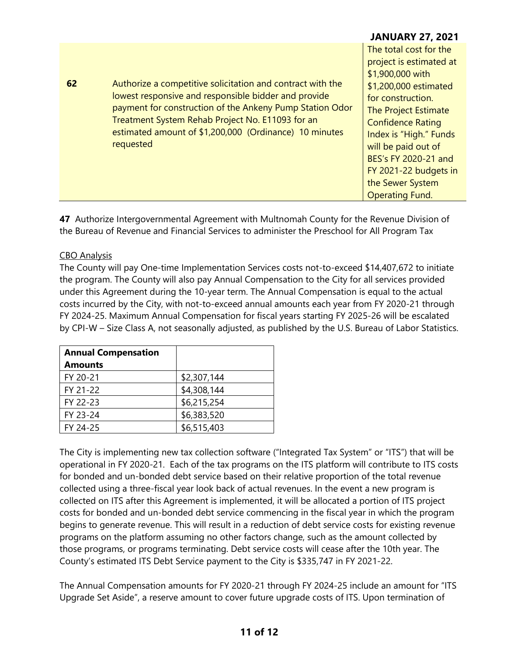### **JANUARY 27, 2021**

| 62 | Authorize a competitive solicitation and contract with the<br>lowest responsive and responsible bidder and provide<br>payment for construction of the Ankeny Pump Station Odor<br>Treatment System Rehab Project No. E11093 for an<br>estimated amount of \$1,200,000 (Ordinance) 10 minutes<br>requested | The total cost for the<br>project is estimated at<br>\$1,900,000 with<br>\$1,200,000 estimated<br>for construction.<br>The Project Estimate<br><b>Confidence Rating</b><br>Index is "High." Funds |
|----|-----------------------------------------------------------------------------------------------------------------------------------------------------------------------------------------------------------------------------------------------------------------------------------------------------------|---------------------------------------------------------------------------------------------------------------------------------------------------------------------------------------------------|
|    |                                                                                                                                                                                                                                                                                                           | will be paid out of                                                                                                                                                                               |
|    |                                                                                                                                                                                                                                                                                                           | BES's FY 2020-21 and<br>FY 2021-22 budgets in                                                                                                                                                     |
|    |                                                                                                                                                                                                                                                                                                           | the Sewer System                                                                                                                                                                                  |
|    |                                                                                                                                                                                                                                                                                                           | <b>Operating Fund.</b>                                                                                                                                                                            |

**47** Authorize Intergovernmental Agreement with Multnomah County for the Revenue Division of the Bureau of Revenue and Financial Services to administer the Preschool for All Program Tax

### CBO Analysis

The County will pay One-time Implementation Services costs not-to-exceed \$14,407,672 to initiate the program. The County will also pay Annual Compensation to the City for all services provided under this Agreement during the 10-year term. The Annual Compensation is equal to the actual costs incurred by the City, with not-to-exceed annual amounts each year from FY 2020-21 through FY 2024-25. Maximum Annual Compensation for fiscal years starting FY 2025-26 will be escalated by CPI-W – Size Class A, not seasonally adjusted, as published by the U.S. Bureau of Labor Statistics.

| <b>Annual Compensation</b> |             |
|----------------------------|-------------|
| <b>Amounts</b>             |             |
| FY 20-21                   | \$2,307,144 |
| FY 21-22                   | \$4,308,144 |
| FY 22-23                   | \$6,215,254 |
| FY 23-24                   | \$6,383,520 |
| FY 24-25                   | \$6,515,403 |

The City is implementing new tax collection software ("Integrated Tax System" or "ITS") that will be operational in FY 2020-21. Each of the tax programs on the ITS platform will contribute to ITS costs for bonded and un-bonded debt service based on their relative proportion of the total revenue collected using a three-fiscal year look back of actual revenues. In the event a new program is collected on ITS after this Agreement is implemented, it will be allocated a portion of ITS project costs for bonded and un-bonded debt service commencing in the fiscal year in which the program begins to generate revenue. This will result in a reduction of debt service costs for existing revenue programs on the platform assuming no other factors change, such as the amount collected by those programs, or programs terminating. Debt service costs will cease after the 10th year. The County's estimated ITS Debt Service payment to the City is \$335,747 in FY 2021-22.

The Annual Compensation amounts for FY 2020-21 through FY 2024-25 include an amount for "ITS Upgrade Set Aside", a reserve amount to cover future upgrade costs of ITS. Upon termination of